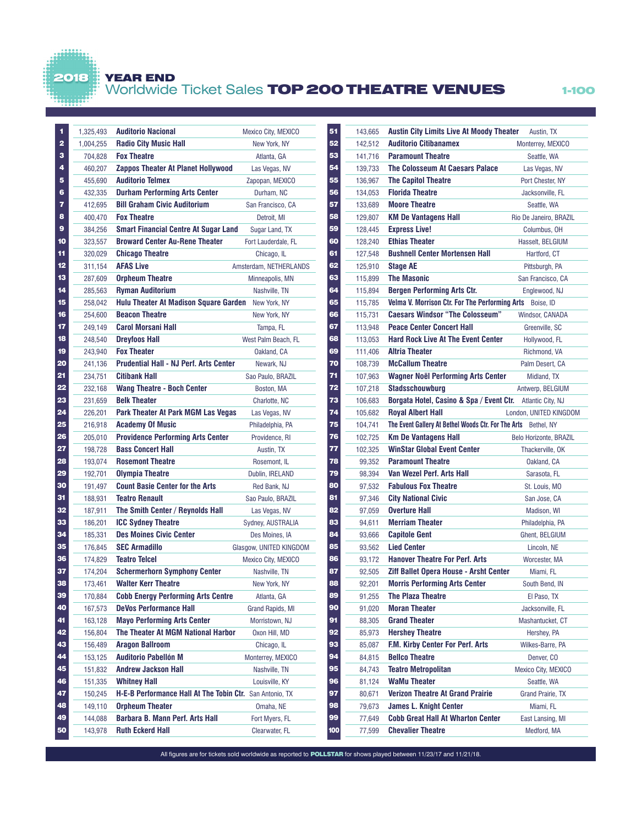## YEAR END

2018

## Worldwide Ticket Sales TOP 200 THEATRE VENUES 1-100

| 1<br>$\overline{\mathbf{2}}$ | 1,325,493 | <b>Auditorio Nacional</b><br><b>Radio City Music Hall</b> | Mexico City, MEXICO     |
|------------------------------|-----------|-----------------------------------------------------------|-------------------------|
| з                            | 1,004,255 |                                                           | New York, NY            |
| 4                            | 704,828   | <b>Fox Theatre</b>                                        | Atlanta, GA             |
| 5                            | 460,207   | <b>Zappos Theater At Planet Hollywood</b>                 | Las Vegas, NV           |
| 6                            | 455,690   | <b>Auditorio Telmex</b>                                   | Zapopan, MEXICO         |
|                              | 432,335   | <b>Durham Performing Arts Center</b>                      | Durham, NC              |
| 7<br>8                       | 412,695   | <b>Bill Graham Civic Auditorium</b>                       | San Francisco, CA       |
| 9                            | 400,470   | <b>Fox Theatre</b>                                        | Detroit, MI             |
|                              | 384,256   | <b>Smart Financial Centre At Sugar Land</b>               | Sugar Land, TX          |
| 10                           | 323,557   | <b>Broward Center Au-Rene Theater</b>                     | Fort Lauderdale, FL     |
| 11                           | 320,029   | <b>Chicago Theatre</b>                                    | Chicago, IL             |
| 12                           | 311,154   | <b>AFAS Live</b>                                          | Amsterdam, NETHERLANDS  |
| 13                           | 287,609   | <b>Orpheum Theatre</b>                                    | Minneapolis, MN         |
| 14                           | 285,563   | <b>Ryman Auditorium</b>                                   | Nashville, TN           |
| 15                           | 258,042   | Hulu Theater At Madison Square Garden                     | New York, NY            |
| 16                           | 254,600   | <b>Beacon Theatre</b>                                     | New York, NY            |
| 17                           | 249,149   | <b>Carol Morsani Hall</b>                                 | Tampa, FL               |
| 18                           | 248,540   | <b>Drevfoos Hall</b>                                      | West Palm Beach, FL     |
| 19                           | 243,940   | <b>Fox Theater</b>                                        | Oakland, CA             |
| 20                           | 241,136   | <b>Prudential Hall - NJ Perf. Arts Center</b>             | Newark, NJ              |
| 21                           | 234,751   | <b>Citibank Hall</b>                                      | Sao Paulo, BRAZIL       |
| 22                           | 232,168   | <b>Wang Theatre - Boch Center</b>                         | Boston, MA              |
| 23                           | 231,659   | <b>Belk Theater</b>                                       | Charlotte, NC           |
| 24                           | 226,201   | Park Theater At Park MGM Las Vegas                        | Las Vegas, NV           |
| 25                           | 216,918   | <b>Academy Of Music</b>                                   | Philadelphia, PA        |
| 26                           | 205,010   | <b>Providence Performing Arts Center</b>                  | Providence, RI          |
| 27                           | 198,728   | <b>Bass Concert Hall</b>                                  | Austin, TX              |
| 28                           | 193,074   | <b>Rosemont Theatre</b>                                   | Rosemont, IL            |
| 29                           | 192,701   | <b>Olympia Theatre</b>                                    | Dublin, IRELAND         |
| 30                           | 191,497   | <b>Count Basie Center for the Arts</b>                    | Red Bank, NJ            |
| 31                           | 188,931   | <b>Teatro Renault</b>                                     | Sao Paulo, BRAZIL       |
| 32                           | 187,911   | The Smith Center / Reynolds Hall                          | Las Vegas, NV           |
| 33                           | 186,201   | <b>ICC Sydney Theatre</b>                                 | Sydney, AUSTRALIA       |
| 34                           | 185,331   | <b>Des Moines Civic Center</b>                            | Des Moines, IA          |
| 35                           | 176,845   | <b>SEC Armadillo</b>                                      | Glasgow, UNITED KINGDOM |
| 36                           | 174,829   | <b>Teatro Telcel</b>                                      | Mexico City, MEXICO     |
| 37                           | 174,204   | <b>Schermerhorn Symphony Center</b>                       | Nashville, TN           |
| 38                           | 173,461   | <b>Walter Kerr Theatre</b>                                | New York, NY            |
| 39                           | 170,884   | <b>Cobb Energy Performing Arts Centre</b>                 | Atlanta, GA             |
| 40                           | 167,573   | <b>DeVos Performance Hall</b>                             | Grand Rapids, MI        |
| 41                           | 163,128   | <b>Mayo Performing Arts Center</b>                        | Morristown, NJ          |
| 42                           | 156,804   | The Theater At MGM National Harbor                        | Oxon Hill, MD           |
| 43                           | 156,489   | <b>Aragon Ballroom</b>                                    | Chicago, IL             |
| 44                           | 153,125   | <b>Auditorio Pabellón M</b>                               | Monterrey, MEXICO       |
| 45                           | 151,832   | <b>Andrew Jackson Hall</b>                                | Nashville, TN           |
| 46                           | 151,335   | <b>Whitney Hall</b>                                       | Louisville, KY          |
| 47                           | 150,245   | H-E-B Performance Hall At The Tobin Ctr.                  | San Antonio, TX         |
| 48                           | 149,110   | <b>Orpheum Theater</b>                                    | Omaha, NE               |
| 49                           | 144,088   | <b>Barbara B. Mann Perf. Arts Hall</b>                    | Fort Myers, FL          |
| 50                           | 143,978   | <b>Ruth Eckerd Hall</b>                                   | Clearwater, FL          |

| 51  | 143,665 | <b>Austin City Limits Live At Moody Theater</b>                | Austin, TX             |
|-----|---------|----------------------------------------------------------------|------------------------|
| 52  | 142,512 | <b>Auditorio Citibanamex</b>                                   | Monterrey, MEXICO      |
| 53  | 141,716 | <b>Paramount Theatre</b>                                       | Seattle, WA            |
| 54  | 139,733 | The Colosseum At Caesars Palace                                | Las Vegas, NV          |
| 55  | 136,967 | <b>The Capitol Theatre</b>                                     | Port Chester, NY       |
| 56  | 134,053 | <b>Florida Theatre</b>                                         | Jacksonville, FL       |
| 57  | 133,689 | <b>Moore Theatre</b>                                           | Seattle, WA            |
| 58  | 129,807 | <b>KM De Vantagens Hall</b>                                    | Rio De Janeiro, BRAZIL |
| 59  | 128,445 | <b>Express Live!</b>                                           | Columbus, OH           |
| 60  | 128,240 | <b>Ethias Theater</b>                                          | Hasselt, BELGIUM       |
| 61  | 127,548 | <b>Bushnell Center Mortensen Hall</b>                          | Hartford, CT           |
| 62  | 125,910 | <b>Stage AE</b>                                                | Pittsburgh, PA         |
| 63  | 115,899 | <b>The Masonic</b>                                             | San Francisco, CA      |
| 64  | 115,894 | <b>Bergen Performing Arts Ctr.</b>                             | Englewood, NJ          |
| 65  | 115,785 | Velma V. Morrison Ctr. For The Performing Arts                 | Boise, ID              |
| 66  | 115,731 | <b>Caesars Windsor "The Colosseum"</b>                         | Windsor, CANADA        |
| 67  | 113,948 | <b>Peace Center Concert Hall</b>                               | Greenville, SC         |
| 68  | 113.053 | <b>Hard Rock Live At The Event Center</b>                      | Hollywood, FL          |
| 69  | 111,406 | <b>Altria Theater</b>                                          | Richmond, VA           |
| 70  | 108,739 | <b>McCallum Theatre</b>                                        | Palm Desert, CA        |
| 71  | 107.963 | <b>Wagner Noël Performing Arts Center</b>                      | Midland, TX            |
| 72  | 107,218 | <b>Stadsschouwburg</b>                                         | Antwerp, BELGIUM       |
| 73  | 106,683 | Borgata Hotel, Casino & Spa / Event Ctr.                       | Atlantic City, NJ      |
| 74  | 105,682 | <b>Royal Albert Hall</b>                                       | London, UNITED KINGDOM |
| 75  | 104,741 | The Event Gallery At Bethel Woods Ctr. For The Arts Bethel, NY |                        |
| 76  | 102,725 | <b>Km De Vantagens Hall</b>                                    | Belo Horizonte, BRAZIL |
| 77  | 102,325 | <b>WinStar Global Event Center</b>                             | Thackerville, OK       |
| 78  | 99,352  | <b>Paramount Theatre</b>                                       | Oakland, CA            |
| 79  | 98,394  | Van Wezel Perf. Arts Hall                                      | Sarasota, FL           |
| 80  | 97,532  | <b>Fabulous Fox Theatre</b>                                    | St. Louis, MO          |
| 81  | 97,346  | <b>City National Civic</b>                                     | San Jose, CA           |
| 82  | 97,059  | <b>Overture Hall</b>                                           | Madison, WI            |
| 83  | 94.611  | <b>Merriam Theater</b>                                         | Philadelphia, PA       |
| 84  | 93.666  | <b>Capitole Gent</b>                                           | Ghent, BELGIUM         |
| 85  | 93.562  | <b>Lied Center</b>                                             | Lincoln, NE            |
| 86  | 93.172  | <b>Hanover Theatre For Perf. Arts</b>                          | Worcester, MA          |
| 87  | 92,505  | <b>Ziff Ballet Opera House - Arsht Center</b>                  | Miami. FL              |
| 88  | 92,201  | <b>Morris Performing Arts Center</b>                           | South Bend, IN         |
| 89  | 91,255  | <b>The Plaza Theatre</b>                                       | El Paso, TX            |
| 90  | 91,020  | <b>Moran Theater</b>                                           | Jacksonville, FL       |
| 91  | 88,305  | <b>Grand Theater</b>                                           | Mashantucket, CT       |
| 92  | 85,973  | <b>Hershey Theatre</b>                                         | Hershey, PA            |
| 93  | 85,087  | F.M. Kirby Center For Perf. Arts                               | Wilkes-Barre, PA       |
| 94  | 84,815  | <b>Bellco Theatre</b>                                          | Denver, CO             |
| 95  | 84,743  | <b>Teatro Metropolitan</b>                                     | Mexico City, MEXICO    |
| 96  | 81,124  | <b>WaMu Theater</b>                                            | Seattle, WA            |
| 97  | 80,671  | <b>Verizon Theatre At Grand Prairie</b>                        | Grand Prairie, TX      |
| 98  | 79,673  | <b>James L. Knight Center</b>                                  | Miami, FL              |
| 99  | 77,649  | <b>Cobb Great Hall At Wharton Center</b>                       | East Lansing, MI       |
| 100 | 77,599  | <b>Chevalier Theatre</b>                                       | Medford, MA            |

All figures are for tickets sold worldwide as reported to **POLLSTAR** for shows played between 11/23/17 and 11/21/18.